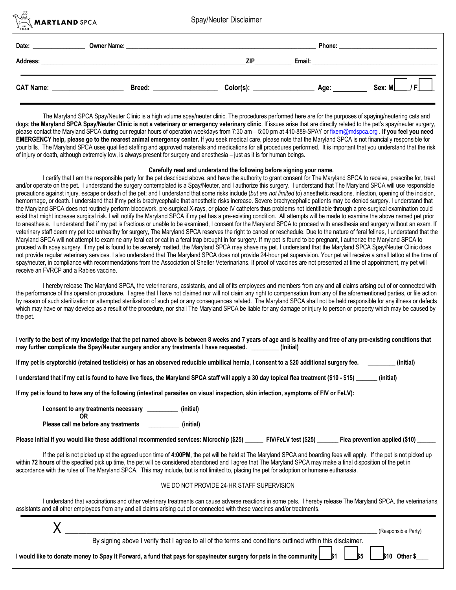**MARYLAND** SPCA

Spay/Neuter Disclaimer

| Date:            | <b>Owner Name:</b> |            | Phone: |        |
|------------------|--------------------|------------|--------|--------|
| <b>Address:</b>  |                    | <b>ZIP</b> | Email: |        |
| <b>CAT Name:</b> | Breed:             | Color(s):  | Age:   | Sex: M |

The Maryland SPCA Spay/Neuter Clinic is a high volume spay/neuter clinic. The procedures performed here are for the purposes of spaying/neutering cats and dogs; **the Maryland SPCA Spay/Neuter Clinic is not a veterinary or emergency veterinary clinic**. If issues arise that are directly related to the pet's spay/neuter surgery, please contact the Maryland SPCA during our regular hours of operation weekdays from 7:30 am – 5:00 pm at 410-889-SPAY or fixem@mdspca.org . **If you feel you need EMERGENCY help, please go to the nearest animal emergency center.** If you seek medical care, please note that the Maryland SPCA is not financially responsible for your bills.The Maryland SPCA uses qualified staffing and approved materials and medications for all procedures performed. It is important that you understand that the risk of injury or death, although extremely low, is always present for surgery and anesthesia – just as it is for human beings.

## **Carefully read and understand the following before signing your name.**

I certify that I am the responsible party for the pet described above, and have the authority to grant consent for The Maryland SPCA to receive, prescribe for, treat and/or operate on the pet. I understand the surgery contemplated is a Spay/Neuter, and I authorize this surgery. I understand that The Maryland SPCA will use responsible precautions against injury, escape or death of the pet; and I understand that some risks include (*but are not limited to*) anesthetic reactions, infection, opening of the incision, hemorrhage, or death. I understand that if my pet is brachycephalic that anesthetic risks increase. Severe brachycephalic patients may be denied surgery. I understand that the Maryland SPCA does not routinely perform bloodwork, pre-surgical X-rays, or place IV catheters thus problems not identifiable through a pre-surgical examination could exist that might increase surgical risk. I will notify the Maryland SPCA if my pet has a pre-existing condition. All attempts will be made to examine the above named pet prior to anesthesia. I understand that if my pet is fractious or unable to be examined, I consent for the Maryland SPCA to proceed with anesthesia and surgery without an exam. If veterinary staff deem my pet too unhealthy for surgery, The Maryland SPCA reserves the right to cancel or reschedule. Due to the nature of feral felines, I understand that the Maryland SPCA will not attempt to examine any feral cat or cat in a feral trap brought in for surgery. If my pet is found to be pregnant, I authorize the Maryland SPCA to proceed with spay surgery. If my pet is found to be severely matted, the Maryland SPCA may shave my pet. I understand that the Maryland SPCA Spay/Neuter Clinic does not provide regular veterinary services. I also understand that The Maryland SPCA does not provide 24-hour pet supervision. Your pet will receive a small tattoo at the time of spay/neuter, in compliance with recommendations from the Association of Shelter Veterinarians. If proof of vaccines are not presented at time of appointment, my pet will receive an FVRCP and a Rabies vaccine.

I hereby release The Maryland SPCA, the veterinarians, assistants, and all of its employees and members from any and all claims arising out of or connected with the performance of this operation procedure. I agree that I have not claimed nor will not claim any right to compensation from any of the aforementioned parties, or file action by reason of such sterilization or attempted sterilization of such pet or any consequences related. The Maryland SPCA shall not be held responsible for any illness or defects which may have or may develop as a result of the procedure, nor shall The Maryland SPCA be liable for any damage or injury to person or property which may be caused by the pet.

| I verify to the best of my knowledge that the pet named above is between 8 weeks and 7 years of age and is healthy and free of any pre-existing conditions that |           |
|-----------------------------------------------------------------------------------------------------------------------------------------------------------------|-----------|
| may further complicate the Spay/Neuter surgery and/or any treatments I have requested.                                                                          | (Initial) |

| If my pet is cryptorchid (retained testicle/s) or has an observed reducible umbilical hernia, I consent to a \$20 additional surgery fee. | (Initial) |
|-------------------------------------------------------------------------------------------------------------------------------------------|-----------|
|-------------------------------------------------------------------------------------------------------------------------------------------|-----------|

**I understand that if my cat is found to have live fleas, the Maryland SPCA staff will apply a 30 day topical flea treatment (\$10 - \$15) \_\_\_\_\_\_\_ (initial)**

**If my pet is found to have any of the following (intestinal parasites on visual inspection, skin infection, symptoms of FIV or FeLV):**

**I consent to any treatments necessary \_\_\_\_\_\_\_\_\_\_ (initial) OR**

**Please call me before any treatments \_\_\_\_\_\_\_\_\_\_ (initial)**

|  | Please initial if you would like these additional recommended services: Microchip (\$25) |  |  |  |  | FIV/FeLV test (\$25) | Flea prevention applied (\$10) |
|--|------------------------------------------------------------------------------------------|--|--|--|--|----------------------|--------------------------------|
|--|------------------------------------------------------------------------------------------|--|--|--|--|----------------------|--------------------------------|

If the pet is not picked up at the agreed upon time of **4:00PM**, the pet will be held at The Maryland SPCA and boarding fees will apply. If the pet is not picked up within 72 hours of the specified pick up time, the pet will be considered abandoned and I agree that The Maryland SPCA may make a final disposition of the pet in accordance with the rules of The Maryland SPCA. This may include, but is not limited to, placing the pet for adoption or humane euthanasia.

## WE DO NOT PROVIDE 24-HR STAFF SUPERVISION

I understand that vaccinations and other veterinary treatments can cause adverse reactions in some pets. I hereby release The Maryland SPCA, the veterinarians, assistants and all other employees from any and all claims arising out of or connected with these vaccines and/or treatments.

|                                                                                                            | (Responsible Party) |
|------------------------------------------------------------------------------------------------------------|---------------------|
| By signing above I verify that I agree to all of the terms and conditions outlined within this disclaimer. |                     |
|                                                                                                            |                     |